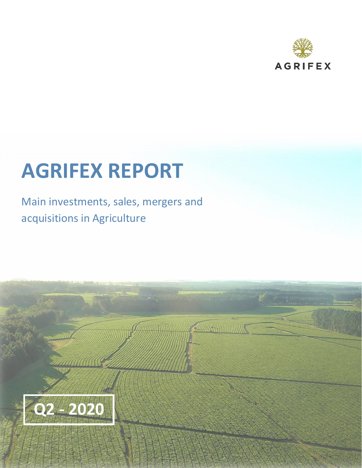

# **AGRIFEX REPORT**

# Main investments, sales, mergers and acquisitions in Agriculture

The Company of the Company of the Company of the Company of the Company of The Company of

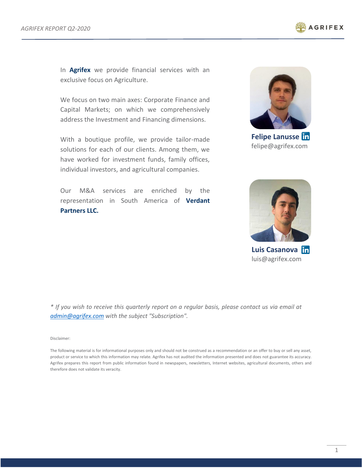

In **Agrifex** we provide financial services with an exclusive focus on Agriculture.

We focus on two main axes: Corporate Finance and Capital Markets; on which we comprehensively address the Investment and Financing dimensions.

With a boutique profile, we provide tailor-made solutions for each of our clients. Among them, we have worked for investment funds, family offices, individual investors, and agricultural companies.

Our M&A services are enriched by the representation in South America of **Verdant Partners LLC.**



**Felipe Lanusse** felipe@agrifex.com



**Luis Casanova** luis@agrifex.com

*\* If you wish to receive this quarterly report on a regular basis, please contact us via email at [admin@agrifex.com](mailto:admin@agrifex.com) with the subject "Subscription".*

Disclaimer:

The following material is for informational purposes only and should not be construed as a recommendation or an offer to buy or sell any asset, product or service to which this information may relate. Agrifex has not audited the information presented and does not guarantee its accuracy. Agrifex prepares this report from public information found in newspapers, newsletters, Internet websites, agricultural documents, others and therefore does not validate its veracity.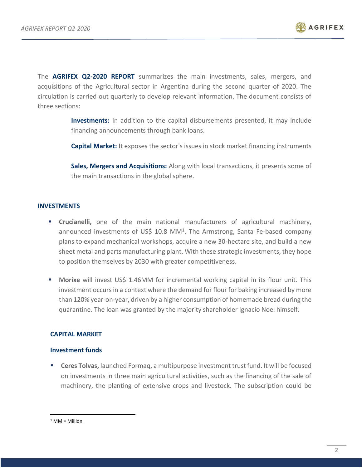

The **AGRIFEX Q2-2020 REPORT** summarizes the main investments, sales, mergers, and acquisitions of the Agricultural sector in Argentina during the second quarter of 2020. The circulation is carried out quarterly to develop relevant information. The document consists of three sections:

> **Investments:** In addition to the capital disbursements presented, it may include financing announcements through bank loans.

> **Capital Market:** It exposes the sector's issues in stock market financing instruments

**Sales, Mergers and Acquisitions:** Along with local transactions, it presents some of the main transactions in the global sphere.

### **INVESTMENTS**

- **Crucianelli,** one of the main national manufacturers of agricultural machinery, announced investments of US\$ 10.8 MM<sup>1</sup>. The Armstrong, Santa Fe-based company plans to expand mechanical workshops, acquire a new 30-hectare site, and build a new sheet metal and parts manufacturing plant. With these strategic investments, they hope to position themselves by 2030 with greater competitiveness.
- **Morixe** will invest US\$ 1.46MM for incremental working capital in its flour unit. This investment occurs in a context where the demand for flour for baking increased by more than 120% year-on-year, driven by a higher consumption of homemade bread during the quarantine. The loan was granted by the majority shareholder Ignacio Noel himself.

#### **CAPITAL MARKET**

#### **Investment funds**

**Ceres Tolvas,** launched Formaq, a multipurpose investment trust fund. It will be focused on investments in three main agricultural activities, such as the financing of the sale of machinery, the planting of extensive crops and livestock. The subscription could be

 $1$  MM = Million.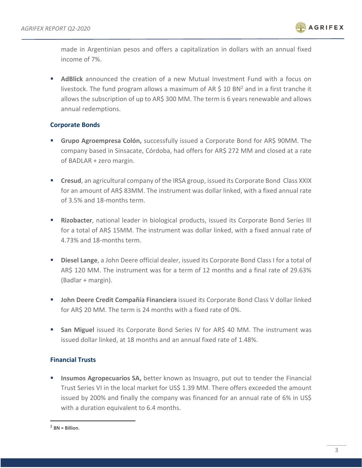

made in Argentinian pesos and offers a capitalization in dollars with an annual fixed income of 7%.

■ **AdBlick** announced the creation of a new Mutual Investment Fund with a focus on livestock. The fund program allows a maximum of AR \$ 10 BN<sup>2</sup> and in a first tranche it allows the subscription of up to AR\$ 300 MM. The term is 6 years renewable and allows annual redemptions.

# **Corporate Bonds**

- **Grupo Agroempresa Colón,** successfully issued a Corporate Bond for AR\$ 90MM. The company based in Sinsacate, Córdoba, had offers for AR\$ 272 MM and closed at a rate of BADLAR + zero margin.
- **EXP** Cresud, an agricultural company of the IRSA group, issued its Corporate Bond Class XXIX for an amount of AR\$ 83MM. The instrument was dollar linked, with a fixed annual rate of 3.5% and 18-months term.
- **E** Rizobacter, national leader in biological products, issued its Corporate Bond Series III for a total of AR\$ 15MM. The instrument was dollar linked, with a fixed annual rate of 4.73% and 18-months term.
- **Diesel Lange**, a John Deere official dealer, issued its Corporate Bond Class I for a total of AR\$ 120 MM. The instrument was for a term of 12 months and a final rate of 29.63% (Badlar + margin).
- **John Deere Credit Compañía Financiera** issued its Corporate Bond Class V dollar linked for AR\$ 20 MM. The term is 24 months with a fixed rate of 0%.
- **San Miguel** issued its Corporate Bond Series IV for AR\$ 40 MM. The instrument was issued dollar linked, at 18 months and an annual fixed rate of 1.48%.

# **Financial Trusts**

**EXTED** Insumos Agropecuarios SA, better known as Insuagro, put out to tender the Financial Trust Series VI in the local market for US\$ 1.39 MM. There offers exceeded the amount issued by 200% and finally the company was financed for an annual rate of 6% in US\$ with a duration equivalent to 6.4 months.

 $<sup>2</sup>$  BN = Billion.</sup>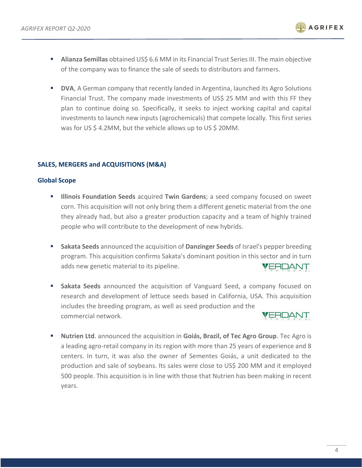

- **E** Alianza Semillas obtained US\$ 6.6 MM in its Financial Trust Series III. The main objective of the company was to finance the sale of seeds to distributors and farmers.
- **DVA**, A German company that recently landed in Argentina, launched its Agro Solutions Financial Trust. The company made investments of US\$ 25 MM and with this FF they plan to continue doing so. Specifically, it seeks to inject working capital and capital investments to launch new inputs (agrochemicals) that compete locally. This first series was for US \$ 4.2MM, but the vehicle allows up to US \$ 20MM.

# **SALES, MERGERS and ACQUISITIONS (M&A)**

#### **Global Scope**

- **Illinois Foundation Seeds** acquired **Twin Gardens**; a seed company focused on sweet corn. This acquisition will not only bring them a different genetic material from the one they already had, but also a greater production capacity and a team of highly trained people who will contribute to the development of new hybrids.
- **Sakata Seeds** announced the acquisition of **Danzinger Seeds** of Israel's pepper breeding program. This acquisition confirms Sakata's dominant position in this sector and in turn adds new genetic material to its pipeline. **VERDANT**
- **E** Sakata Seeds announced the acquisition of Vanguard Seed, a company focused on research and development of lettuce seeds based in California, USA. This acquisition includes the breeding program, as well as seed production and the **VERDANT** commercial network.
- **Nutrien Ltd**. announced the acquisition in **Goiás, Brazil, of Tec Agro Group**. Tec Agro is a leading agro-retail company in its region with more than 25 years of experience and 8 centers. In turn, it was also the owner of Sementes Goiás, a unit dedicated to the production and sale of soybeans. Its sales were close to US\$ 200 MM and it employed 500 people. This acquisition is in line with those that Nutrien has been making in recent years.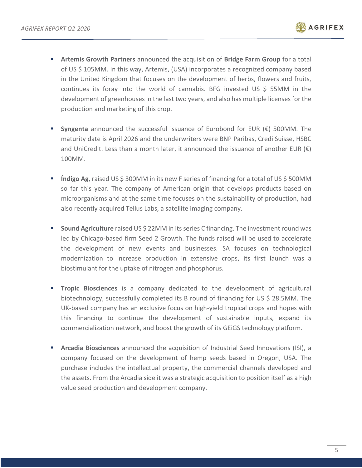

- **E** Artemis Growth Partners announced the acquisition of Bridge Farm Group for a total of US \$ 105MM. In this way, Artemis, (USA) incorporates a recognized company based in the United Kingdom that focuses on the development of herbs, flowers and fruits, continues its foray into the world of cannabis. BFG invested US \$ 55MM in the development of greenhouses in the last two years, and also has multiple licenses for the production and marketing of this crop.
- **Syngenta** announced the successful issuance of Eurobond for EUR (€) 500MM. The maturity date is April 2026 and the underwriters were BNP Paribas, Credi Suisse, HSBC and UniCredit. Less than a month later, it announced the issuance of another EUR  $(\epsilon)$ 100MM.
- **Índigo Ag**, raised US \$ 300MM in its new F series of financing for a total of US \$ 500MM so far this year. The company of American origin that develops products based on microorganisms and at the same time focuses on the sustainability of production, had also recently acquired Tellus Labs, a satellite imaging company.
- **Sound Agriculture** raised US \$ 22MM in its series C financing. The investment round was led by Chicago-based firm Seed 2 Growth. The funds raised will be used to accelerate the development of new events and businesses. SA focuses on technological modernization to increase production in extensive crops, its first launch was a biostimulant for the uptake of nitrogen and phosphorus.
- **Tropic Biosciences** is a company dedicated to the development of agricultural biotechnology, successfully completed its B round of financing for US \$ 28.5MM. The UK-based company has an exclusive focus on high-yield tropical crops and hopes with this financing to continue the development of sustainable inputs, expand its commercialization network, and boost the growth of its GEiGS technology platform.
- **E** Arcadia Biosciences announced the acquisition of Industrial Seed Innovations (ISI), a company focused on the development of hemp seeds based in Oregon, USA. The purchase includes the intellectual property, the commercial channels developed and the assets. From the Arcadia side it was a strategic acquisition to position itself as a high value seed production and development company.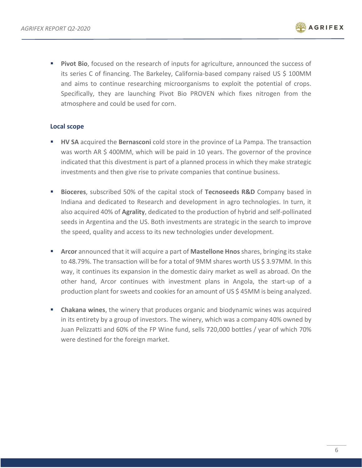

■ **Pivot Bio**, focused on the research of inputs for agriculture, announced the success of its series C of financing. The Barkeley, California-based company raised US \$ 100MM and aims to continue researching microorganisms to exploit the potential of crops. Specifically, they are launching Pivot Bio PROVEN which fixes nitrogen from the atmosphere and could be used for corn.

### **Local scope**

- **HV SA** acquired the **Bernasconi** cold store in the province of La Pampa. The transaction was worth AR \$ 400MM, which will be paid in 10 years. The governor of the province indicated that this divestment is part of a planned process in which they make strategic investments and then give rise to private companies that continue business.
- **Bioceres**, subscribed 50% of the capital stock of **Tecnoseeds R&D** Company based in Indiana and dedicated to Research and development in agro technologies. In turn, it also acquired 40% of **Agrality**, dedicated to the production of hybrid and self-pollinated seeds in Argentina and the US. Both investments are strategic in the search to improve the speed, quality and access to its new technologies under development.
- **Arcor** announced that it will acquire a part of **Mastellone Hnos**shares, bringing its stake to 48.79%. The transaction will be for a total of 9MM shares worth US \$ 3.97MM. In this way, it continues its expansion in the domestic dairy market as well as abroad. On the other hand, Arcor continues with investment plans in Angola, the start-up of a production plant for sweets and cookies for an amount of US \$ 45MM is being analyzed.
- **EXA** Chakana wines, the winery that produces organic and biodynamic wines was acquired in its entirety by a group of investors. The winery, which was a company 40% owned by Juan Pelizzatti and 60% of the FP Wine fund, sells 720,000 bottles / year of which 70% were destined for the foreign market.